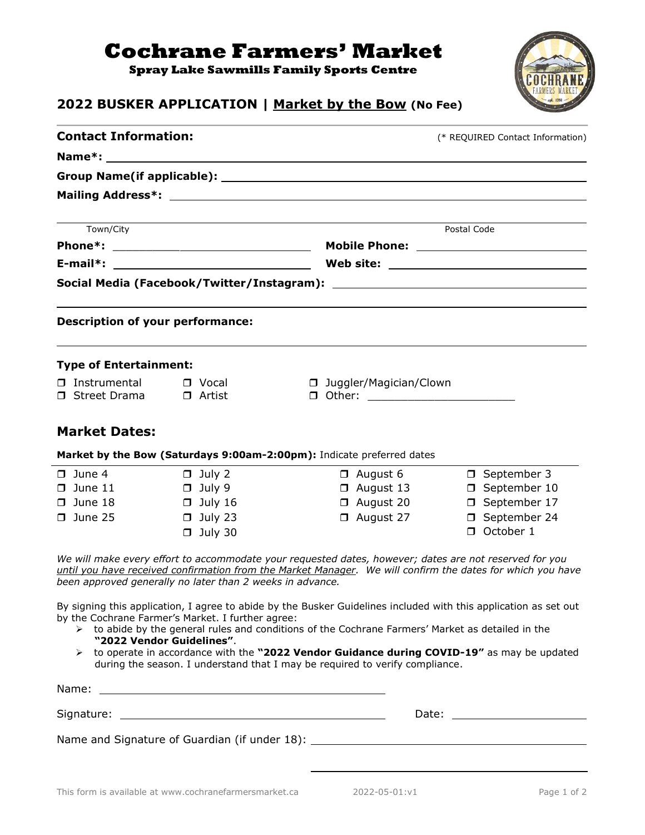## **Cochrane Farmers' Market**

**Spray Lake Sawmills Family Sports Centre**



## **2022 BUSKER APPLICATION | Market by the Bow (No Fee)**

| <b>Contact Information:</b>                                               |                                                                                      |                                                                                                                                                                                                                                                                                                                                                                                                                      | (* REQUIRED Contact Information)                                                   |  |
|---------------------------------------------------------------------------|--------------------------------------------------------------------------------------|----------------------------------------------------------------------------------------------------------------------------------------------------------------------------------------------------------------------------------------------------------------------------------------------------------------------------------------------------------------------------------------------------------------------|------------------------------------------------------------------------------------|--|
|                                                                           |                                                                                      |                                                                                                                                                                                                                                                                                                                                                                                                                      |                                                                                    |  |
|                                                                           |                                                                                      |                                                                                                                                                                                                                                                                                                                                                                                                                      |                                                                                    |  |
|                                                                           |                                                                                      |                                                                                                                                                                                                                                                                                                                                                                                                                      |                                                                                    |  |
| Town/City                                                                 |                                                                                      |                                                                                                                                                                                                                                                                                                                                                                                                                      | Postal Code                                                                        |  |
|                                                                           |                                                                                      |                                                                                                                                                                                                                                                                                                                                                                                                                      |                                                                                    |  |
|                                                                           |                                                                                      |                                                                                                                                                                                                                                                                                                                                                                                                                      |                                                                                    |  |
|                                                                           |                                                                                      |                                                                                                                                                                                                                                                                                                                                                                                                                      |                                                                                    |  |
| <b>Description of your performance:</b>                                   |                                                                                      |                                                                                                                                                                                                                                                                                                                                                                                                                      |                                                                                    |  |
| <b>Type of Entertainment:</b>                                             |                                                                                      |                                                                                                                                                                                                                                                                                                                                                                                                                      |                                                                                    |  |
| □ Instrumental<br>□ Street Drama                                          | $\Box$ Vocal<br>□ Artist                                                             | □ Juggler/Magician/Clown<br>D Other: _________________________                                                                                                                                                                                                                                                                                                                                                       |                                                                                    |  |
| <b>Market Dates:</b>                                                      |                                                                                      |                                                                                                                                                                                                                                                                                                                                                                                                                      |                                                                                    |  |
|                                                                           |                                                                                      | Market by the Bow (Saturdays 9:00am-2:00pm): Indicate preferred dates                                                                                                                                                                                                                                                                                                                                                |                                                                                    |  |
| $\Box$ June 4<br>$\Box$ June 11<br>$\square$ June 18<br>$\square$ June 25 | $\Box$ July 2<br>$\Box$ July 9<br>$\Box$ July 16<br>$\Box$ July 23<br>$\Box$ July 30 | $\Box$ August 6<br>$\Box$ August 13<br>□ August 20<br>$\Box$ August 27                                                                                                                                                                                                                                                                                                                                               | □ September 3<br>□ September 10<br>□ September 17<br>□ September 24<br>□ October 1 |  |
|                                                                           | been approved generally no later than 2 weeks in advance.                            | We will make every effort to accommodate your requested dates, however; dates are not reserved for you<br>until you have received confirmation from the Market Manager. We will confirm the dates for which you have                                                                                                                                                                                                 |                                                                                    |  |
|                                                                           | by the Cochrane Farmer's Market. I further agree:<br>"2022 Vendor Guidelines".       | By signing this application, I agree to abide by the Busker Guidelines included with this application as set out<br>$\triangleright$ to abide by the general rules and conditions of the Cochrane Farmers' Market as detailed in the<br>> to operate in accordance with the "2022 Vendor Guidance during COVID-19" as may be updated<br>during the season. I understand that I may be required to verify compliance. |                                                                                    |  |
|                                                                           |                                                                                      |                                                                                                                                                                                                                                                                                                                                                                                                                      |                                                                                    |  |
|                                                                           |                                                                                      |                                                                                                                                                                                                                                                                                                                                                                                                                      |                                                                                    |  |
|                                                                           |                                                                                      | Name and Signature of Guardian (if under 18): ___________________________________                                                                                                                                                                                                                                                                                                                                    |                                                                                    |  |